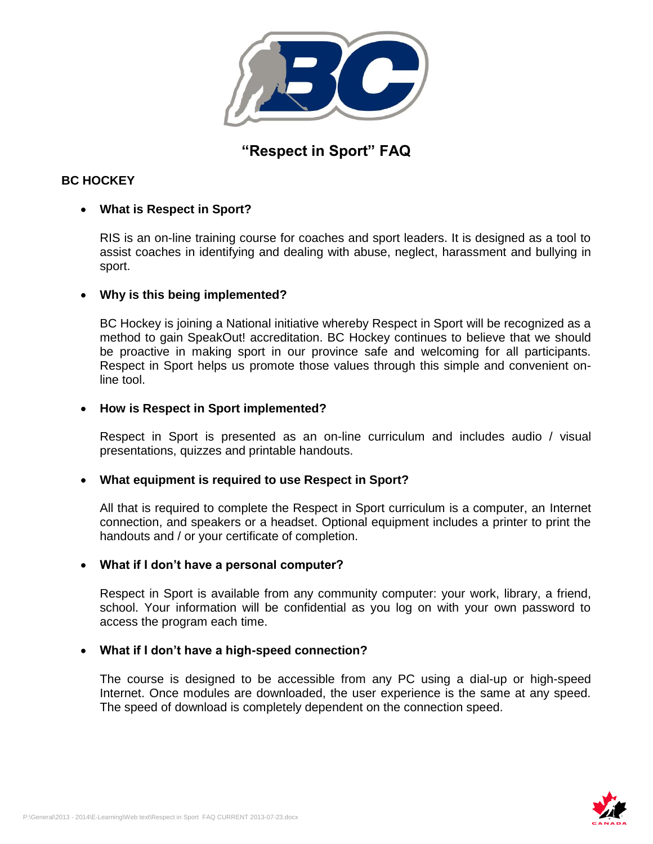

# **"Respect in Sport" FAQ**

# **BC HOCKEY**

# **What is Respect in Sport?**

RIS is an on-line training course for coaches and sport leaders. It is designed as a tool to assist coaches in identifying and dealing with abuse, neglect, harassment and bullying in sport.

# **Why is this being implemented?**

BC Hockey is joining a National initiative whereby Respect in Sport will be recognized as a method to gain SpeakOut! accreditation. BC Hockey continues to believe that we should be proactive in making sport in our province safe and welcoming for all participants. Respect in Sport helps us promote those values through this simple and convenient online tool.

# **How is Respect in Sport implemented?**

Respect in Sport is presented as an on-line curriculum and includes audio / visual presentations, quizzes and printable handouts.

# **What equipment is required to use Respect in Sport?**

All that is required to complete the Respect in Sport curriculum is a computer, an Internet connection, and speakers or a headset. Optional equipment includes a printer to print the handouts and / or your certificate of completion.

# **What if I don't have a personal computer?**

Respect in Sport is available from any community computer: your work, library, a friend, school. Your information will be confidential as you log on with your own password to access the program each time.

# **What if I don't have a high-speed connection?**

The course is designed to be accessible from any PC using a dial-up or high-speed Internet. Once modules are downloaded, the user experience is the same at any speed. The speed of download is completely dependent on the connection speed.

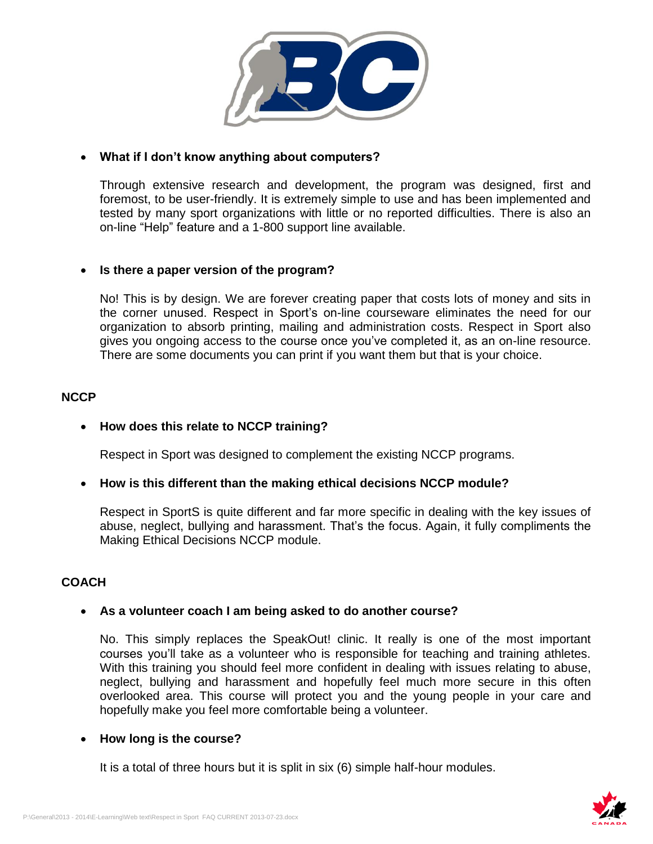

## **What if I don't know anything about computers?**

Through extensive research and development, the program was designed, first and foremost, to be user-friendly. It is extremely simple to use and has been implemented and tested by many sport organizations with little or no reported difficulties. There is also an on-line "Help" feature and a 1-800 support line available.

## **Is there a paper version of the program?**

No! This is by design. We are forever creating paper that costs lots of money and sits in the corner unused. Respect in Sport's on-line courseware eliminates the need for our organization to absorb printing, mailing and administration costs. Respect in Sport also gives you ongoing access to the course once you've completed it, as an on-line resource. There are some documents you can print if you want them but that is your choice.

## **NCCP**

## **How does this relate to NCCP training?**

Respect in Sport was designed to complement the existing NCCP programs.

## **How is this different than the making ethical decisions NCCP module?**

Respect in SportS is quite different and far more specific in dealing with the key issues of abuse, neglect, bullying and harassment. That's the focus. Again, it fully compliments the Making Ethical Decisions NCCP module.

# **COACH**

## **As a volunteer coach I am being asked to do another course?**

No. This simply replaces the SpeakOut! clinic. It really is one of the most important courses you'll take as a volunteer who is responsible for teaching and training athletes. With this training you should feel more confident in dealing with issues relating to abuse, neglect, bullying and harassment and hopefully feel much more secure in this often overlooked area. This course will protect you and the young people in your care and hopefully make you feel more comfortable being a volunteer.

## **How long is the course?**

It is a total of three hours but it is split in six (6) simple half-hour modules.